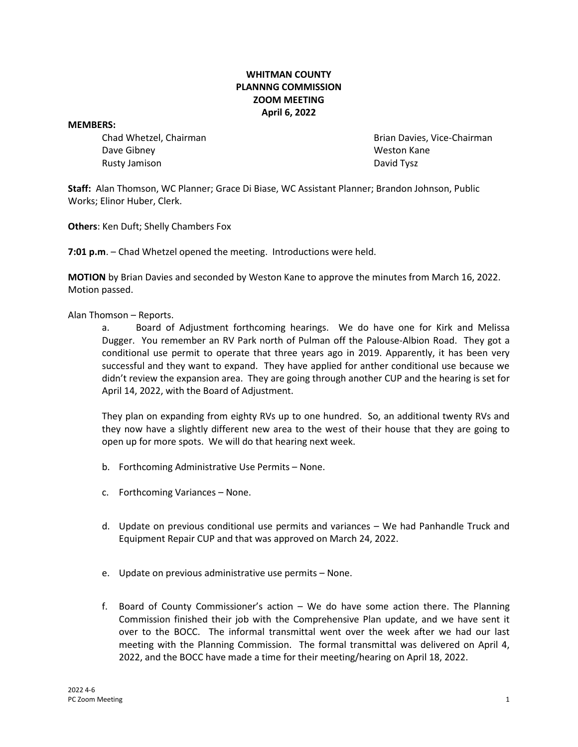## **WHITMAN COUNTY PLANNNG COMMISSION ZOOM MEETING April 6, 2022**

**MEMBERS:**

Dave Gibney New York 1990 and the University Method Weston Kane Rusty Jamison **David Tysz David Tysz David Tysz** 

Chad Whetzel, Chairman Brian Davies, Vice-Chairman

**Staff:** Alan Thomson, WC Planner; Grace Di Biase, WC Assistant Planner; Brandon Johnson, Public Works; Elinor Huber, Clerk.

**Others**: Ken Duft; Shelly Chambers Fox

**7:01 p.m**. – Chad Whetzel opened the meeting. Introductions were held.

**MOTION** by Brian Davies and seconded by Weston Kane to approve the minutes from March 16, 2022. Motion passed.

## Alan Thomson – Reports.

a. Board of Adjustment forthcoming hearings. We do have one for Kirk and Melissa Dugger. You remember an RV Park north of Pulman off the Palouse-Albion Road. They got a conditional use permit to operate that three years ago in 2019. Apparently, it has been very successful and they want to expand. They have applied for anther conditional use because we didn't review the expansion area. They are going through another CUP and the hearing is set for April 14, 2022, with the Board of Adjustment.

They plan on expanding from eighty RVs up to one hundred. So, an additional twenty RVs and they now have a slightly different new area to the west of their house that they are going to open up for more spots. We will do that hearing next week.

- b. Forthcoming Administrative Use Permits None.
- c. Forthcoming Variances None.
- d. Update on previous conditional use permits and variances We had Panhandle Truck and Equipment Repair CUP and that was approved on March 24, 2022.
- e. Update on previous administrative use permits None.
- f. Board of County Commissioner's action We do have some action there. The Planning Commission finished their job with the Comprehensive Plan update, and we have sent it over to the BOCC. The informal transmittal went over the week after we had our last meeting with the Planning Commission. The formal transmittal was delivered on April 4, 2022, and the BOCC have made a time for their meeting/hearing on April 18, 2022.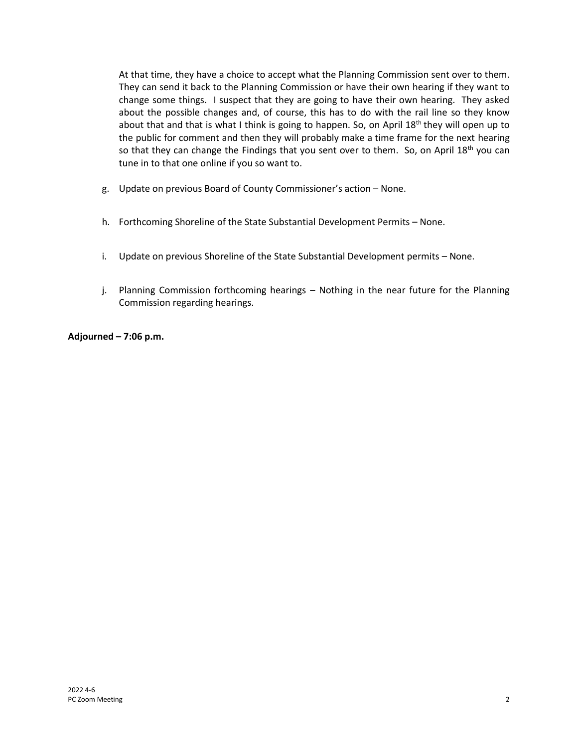At that time, they have a choice to accept what the Planning Commission sent over to them. They can send it back to the Planning Commission or have their own hearing if they want to change some things. I suspect that they are going to have their own hearing. They asked about the possible changes and, of course, this has to do with the rail line so they know about that and that is what I think is going to happen. So, on April  $18<sup>th</sup>$  they will open up to the public for comment and then they will probably make a time frame for the next hearing so that they can change the Findings that you sent over to them. So, on April  $18<sup>th</sup>$  you can tune in to that one online if you so want to.

- g. Update on previous Board of County Commissioner's action None.
- h. Forthcoming Shoreline of the State Substantial Development Permits None.
- i. Update on previous Shoreline of the State Substantial Development permits None.
- j. Planning Commission forthcoming hearings Nothing in the near future for the Planning Commission regarding hearings.

**Adjourned – 7:06 p.m.**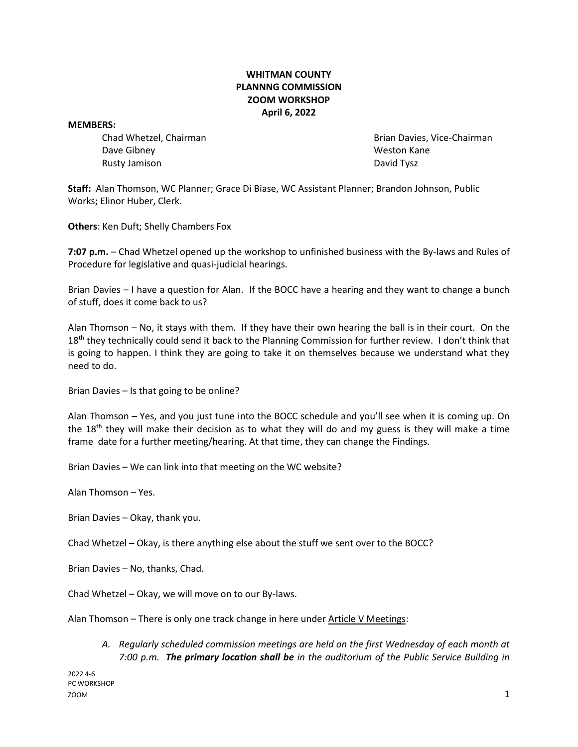## **WHITMAN COUNTY PLANNNG COMMISSION ZOOM WORKSHOP April 6, 2022**

**MEMBERS:**

Dave Gibney New York 1990 and the University Method Weston Kane Rusty Jamison **David Tysz David Tysz David Tysz** 

Chad Whetzel, Chairman Brian Davies, Vice-Chairman

**Staff:** Alan Thomson, WC Planner; Grace Di Biase, WC Assistant Planner; Brandon Johnson, Public Works; Elinor Huber, Clerk.

**Others**: Ken Duft; Shelly Chambers Fox

**7:07 p.m.** – Chad Whetzel opened up the workshop to unfinished business with the By-laws and Rules of Procedure for legislative and quasi-judicial hearings.

Brian Davies – I have a question for Alan. If the BOCC have a hearing and they want to change a bunch of stuff, does it come back to us?

Alan Thomson – No, it stays with them. If they have their own hearing the ball is in their court. On the 18<sup>th</sup> they technically could send it back to the Planning Commission for further review. I don't think that is going to happen. I think they are going to take it on themselves because we understand what they need to do.

Brian Davies – Is that going to be online?

Alan Thomson – Yes, and you just tune into the BOCC schedule and you'll see when it is coming up. On the 18<sup>th</sup> they will make their decision as to what they will do and my guess is they will make a time frame date for a further meeting/hearing. At that time, they can change the Findings.

Brian Davies – We can link into that meeting on the WC website?

Alan Thomson – Yes.

Brian Davies – Okay, thank you.

Chad Whetzel – Okay, is there anything else about the stuff we sent over to the BOCC?

Brian Davies – No, thanks, Chad.

Chad Whetzel – Okay, we will move on to our By-laws.

Alan Thomson – There is only one track change in here under Article V Meetings:

*A. Regularly scheduled commission meetings are held on the first Wednesday of each month at 7:00 p.m. The primary location shall be in the auditorium of the Public Service Building in*

2022 4-6 PC WORKSHOP  $200M$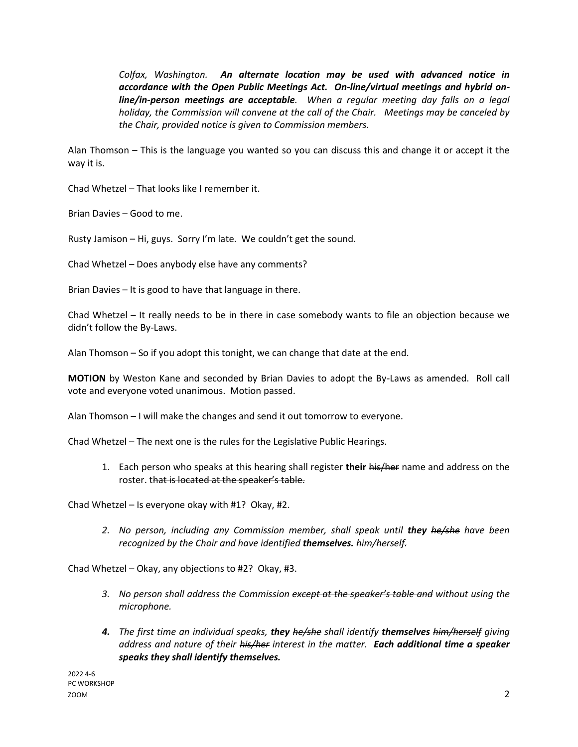*Colfax, Washington. An alternate location may be used with advanced notice in accordance with the Open Public Meetings Act. On-line/virtual meetings and hybrid online/in-person meetings are acceptable. When a regular meeting day falls on a legal holiday, the Commission will convene at the call of the Chair. Meetings may be canceled by the Chair, provided notice is given to Commission members.*

Alan Thomson – This is the language you wanted so you can discuss this and change it or accept it the way it is.

Chad Whetzel – That looks like I remember it.

Brian Davies – Good to me.

Rusty Jamison – Hi, guys. Sorry I'm late. We couldn't get the sound.

Chad Whetzel – Does anybody else have any comments?

Brian Davies – It is good to have that language in there.

Chad Whetzel – It really needs to be in there in case somebody wants to file an objection because we didn't follow the By-Laws.

Alan Thomson – So if you adopt this tonight, we can change that date at the end.

**MOTION** by Weston Kane and seconded by Brian Davies to adopt the By-Laws as amended. Roll call vote and everyone voted unanimous. Motion passed.

Alan Thomson – I will make the changes and send it out tomorrow to everyone.

Chad Whetzel – The next one is the rules for the Legislative Public Hearings.

1. Each person who speaks at this hearing shall register **their** his/her name and address on the roster. that is located at the speaker's table.

Chad Whetzel – Is everyone okay with #1? Okay, #2.

2. No person, including any Commission member, shall speak until **they** *he/she have been recognized by the Chair and have identified themselves. him/herself.*

Chad Whetzel – Okay, any objections to #2? Okay, #3.

- *3. No person shall address the Commission except at the speaker's table and without using the microphone.*
- *4. The first time an individual speaks, they he/she shall identify themselves him/herself giving address and nature of their his/her interest in the matter. Each additional time a speaker speaks they shall identify themselves.*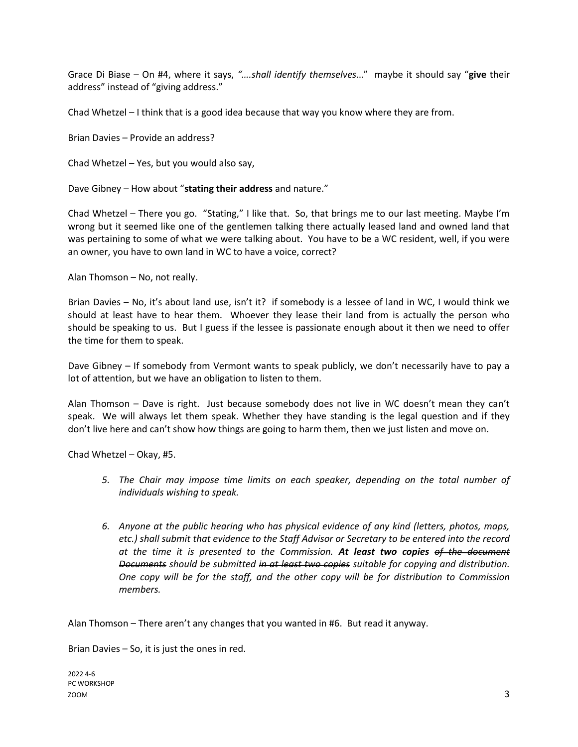Grace Di Biase – On #4, where it says, *"….shall identify themselves*…" maybe it should say "**give** their address" instead of "giving address."

Chad Whetzel – I think that is a good idea because that way you know where they are from.

Brian Davies – Provide an address?

Chad Whetzel – Yes, but you would also say,

Dave Gibney – How about "**stating their address** and nature."

Chad Whetzel – There you go. "Stating," I like that. So, that brings me to our last meeting. Maybe I'm wrong but it seemed like one of the gentlemen talking there actually leased land and owned land that was pertaining to some of what we were talking about. You have to be a WC resident, well, if you were an owner, you have to own land in WC to have a voice, correct?

Alan Thomson – No, not really.

Brian Davies – No, it's about land use, isn't it? if somebody is a lessee of land in WC, I would think we should at least have to hear them. Whoever they lease their land from is actually the person who should be speaking to us. But I guess if the lessee is passionate enough about it then we need to offer the time for them to speak.

Dave Gibney – If somebody from Vermont wants to speak publicly, we don't necessarily have to pay a lot of attention, but we have an obligation to listen to them.

Alan Thomson – Dave is right. Just because somebody does not live in WC doesn't mean they can't speak. We will always let them speak. Whether they have standing is the legal question and if they don't live here and can't show how things are going to harm them, then we just listen and move on.

Chad Whetzel – Okay, #5.

- *5. The Chair may impose time limits on each speaker, depending on the total number of individuals wishing to speak.*
- *6. Anyone at the public hearing who has physical evidence of any kind (letters, photos, maps, etc.) shall submit that evidence to the Staff Advisor or Secretary to be entered into the record at the time it is presented to the Commission. At least two copies of the document Documents should be submitted in at least two copies suitable for copying and distribution. One copy will be for the staff, and the other copy will be for distribution to Commission members.*

Alan Thomson – There aren't any changes that you wanted in #6. But read it anyway.

Brian Davies – So, it is just the ones in red.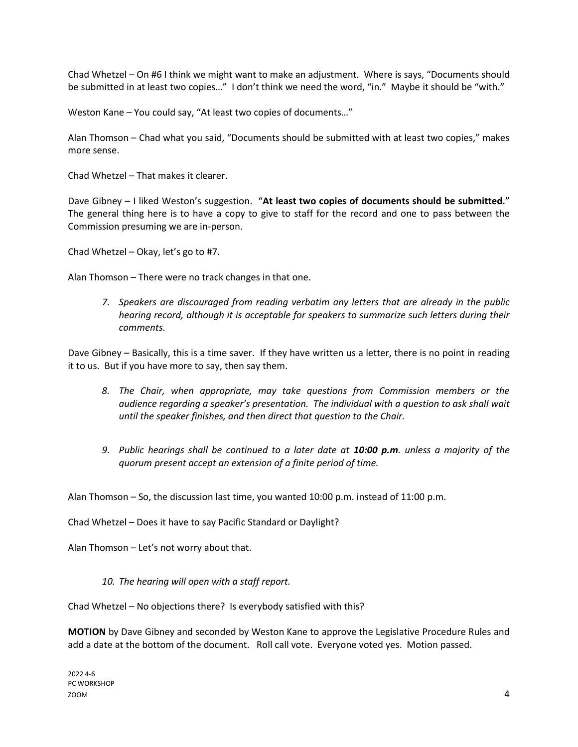Chad Whetzel – On #6 I think we might want to make an adjustment. Where is says, "Documents should be submitted in at least two copies..." I don't think we need the word, "in." Maybe it should be "with."

Weston Kane – You could say, "At least two copies of documents…"

Alan Thomson – Chad what you said, "Documents should be submitted with at least two copies," makes more sense.

Chad Whetzel – That makes it clearer.

Dave Gibney – I liked Weston's suggestion. "At least two copies of documents should be submitted." The general thing here is to have a copy to give to staff for the record and one to pass between the Commission presuming we are in-person.

Chad Whetzel – Okay, let's go to #7.

Alan Thomson – There were no track changes in that one.

*7. Speakers are discouraged from reading verbatim any letters that are already in the public hearing record, although it is acceptable for speakers to summarize such letters during their comments.*

Dave Gibney – Basically, this is a time saver. If they have written us a letter, there is no point in reading it to us. But if you have more to say, then say them.

- *8. The Chair, when appropriate, may take questions from Commission members or the audience regarding a speaker's presentation. The individual with a question to ask shall wait until the speaker finishes, and then direct that question to the Chair.*
- *9. Public hearings shall be continued to a later date at 10:00 p.m. unless a majority of the quorum present accept an extension of a finite period of time.*

Alan Thomson – So, the discussion last time, you wanted 10:00 p.m. instead of 11:00 p.m.

Chad Whetzel – Does it have to say Pacific Standard or Daylight?

Alan Thomson – Let's not worry about that.

*10. The hearing will open with a staff report.*

Chad Whetzel – No objections there? Is everybody satisfied with this?

**MOTION** by Dave Gibney and seconded by Weston Kane to approve the Legislative Procedure Rules and add a date at the bottom of the document. Roll call vote. Everyone voted yes. Motion passed.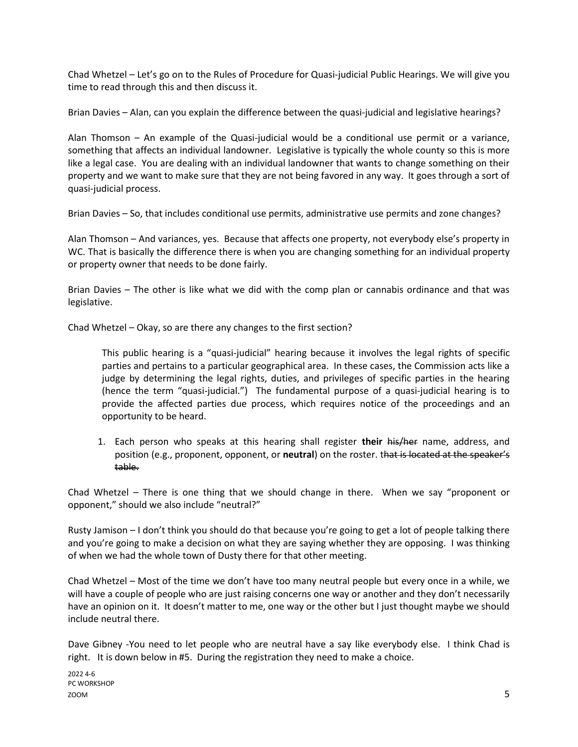Chad Whetzel – Let's go on to the Rules of Procedure for Quasi-judicial Public Hearings. We will give you time to read through this and then discuss it.

Brian Davies – Alan, can you explain the difference between the quasi-judicial and legislative hearings?

Alan Thomson – An example of the Quasi-judicial would be a conditional use permit or a variance, something that affects an individual landowner. Legislative is typically the whole county so this is more like a legal case. You are dealing with an individual landowner that wants to change something on their property and we want to make sure that they are not being favored in any way. It goes through a sort of quasi-judicial process.

Brian Davies – So, that includes conditional use permits, administrative use permits and zone changes?

Alan Thomson – And variances, yes. Because that affects one property, not everybody else's property in WC. That is basically the difference there is when you are changing something for an individual property or property owner that needs to be done fairly.

Brian Davies – The other is like what we did with the comp plan or cannabis ordinance and that was legislative.

Chad Whetzel – Okay, so are there any changes to the first section?

This public hearing is a "quasi-judicial" hearing because it involves the legal rights of specific parties and pertains to a particular geographical area. In these cases, the Commission acts like a judge by determining the legal rights, duties, and privileges of specific parties in the hearing (hence the term "quasi-judicial.") The fundamental purpose of a quasi-judicial hearing is to provide the affected parties due process, which requires notice of the proceedings and an opportunity to be heard.

1. Each person who speaks at this hearing shall register **their** his/her name, address, and position (e.g., proponent, opponent, or **neutral**) on the roster. that is located at the speaker's table.

Chad Whetzel – There is one thing that we should change in there. When we say "proponent or opponent," should we also include "neutral?"

Rusty Jamison – I don't think you should do that because you're going to get a lot of people talking there and you're going to make a decision on what they are saying whether they are opposing. I was thinking of when we had the whole town of Dusty there for that other meeting.

Chad Whetzel – Most of the time we don't have too many neutral people but every once in a while, we will have a couple of people who are just raising concerns one way or another and they don't necessarily have an opinion on it. It doesn't matter to me, one way or the other but I just thought maybe we should include neutral there.

Dave Gibney -You need to let people who are neutral have a say like everybody else. I think Chad is right. It is down below in #5. During the registration they need to make a choice.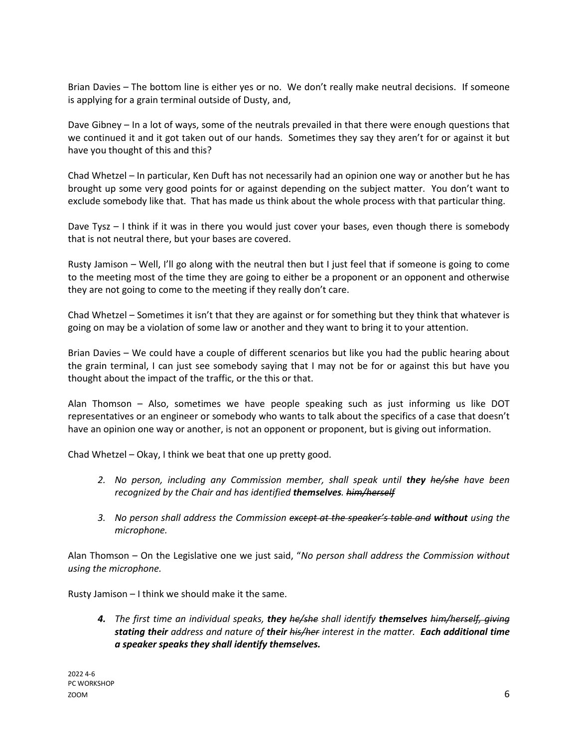Brian Davies – The bottom line is either yes or no. We don't really make neutral decisions. If someone is applying for a grain terminal outside of Dusty, and,

Dave Gibney – In a lot of ways, some of the neutrals prevailed in that there were enough questions that we continued it and it got taken out of our hands. Sometimes they say they aren't for or against it but have you thought of this and this?

Chad Whetzel – In particular, Ken Duft has not necessarily had an opinion one way or another but he has brought up some very good points for or against depending on the subject matter. You don't want to exclude somebody like that. That has made us think about the whole process with that particular thing.

Dave Tysz – I think if it was in there you would just cover your bases, even though there is somebody that is not neutral there, but your bases are covered.

Rusty Jamison – Well, I'll go along with the neutral then but I just feel that if someone is going to come to the meeting most of the time they are going to either be a proponent or an opponent and otherwise they are not going to come to the meeting if they really don't care.

Chad Whetzel – Sometimes it isn't that they are against or for something but they think that whatever is going on may be a violation of some law or another and they want to bring it to your attention.

Brian Davies – We could have a couple of different scenarios but like you had the public hearing about the grain terminal, I can just see somebody saying that I may not be for or against this but have you thought about the impact of the traffic, or the this or that.

Alan Thomson – Also, sometimes we have people speaking such as just informing us like DOT representatives or an engineer or somebody who wants to talk about the specifics of a case that doesn't have an opinion one way or another, is not an opponent or proponent, but is giving out information.

Chad Whetzel – Okay, I think we beat that one up pretty good.

- 2. No person, including any Commission member, shall speak until **they** *he/she* have been *recognized by the Chair and has identified themselves. him/herself*
- *3. No person shall address the Commission except at the speaker's table and without using the microphone.*

Alan Thomson – On the Legislative one we just said, "*No person shall address the Commission without using the microphone.*

Rusty Jamison – I think we should make it the same.

*4. The first time an individual speaks, they he/she shall identify themselves him/herself, giving stating their address and nature of their his/her interest in the matter. Each additional time a speaker speaks they shall identify themselves.*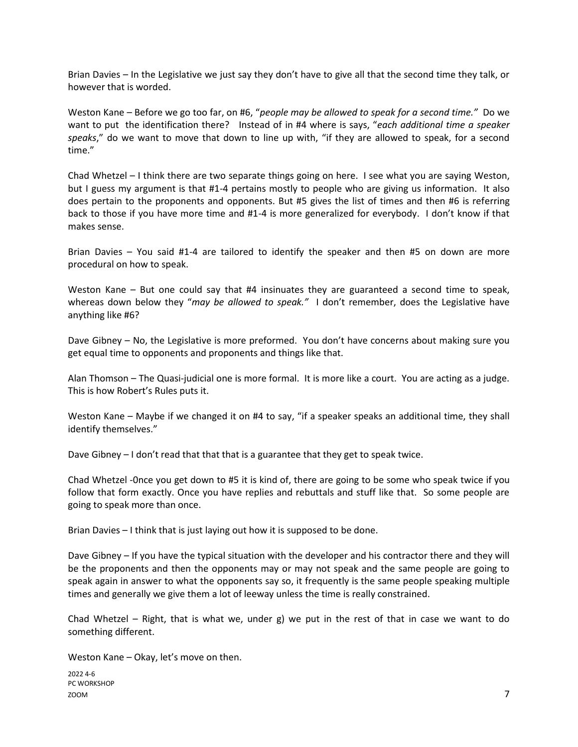Brian Davies – In the Legislative we just say they don't have to give all that the second time they talk, or however that is worded.

Weston Kane – Before we go too far, on #6, "*people may be allowed to speak for a second time."* Do we want to put the identification there? Instead of in #4 where is says, "*each additional time a speaker speaks*," do we want to move that down to line up with, "if they are allowed to speak, for a second time."

Chad Whetzel – I think there are two separate things going on here. I see what you are saying Weston, but I guess my argument is that #1-4 pertains mostly to people who are giving us information. It also does pertain to the proponents and opponents. But #5 gives the list of times and then #6 is referring back to those if you have more time and #1-4 is more generalized for everybody. I don't know if that makes sense.

Brian Davies – You said #1-4 are tailored to identify the speaker and then #5 on down are more procedural on how to speak.

Weston Kane – But one could say that #4 insinuates they are guaranteed a second time to speak, whereas down below they "*may be allowed to speak."* I don't remember, does the Legislative have anything like #6?

Dave Gibney – No, the Legislative is more preformed. You don't have concerns about making sure you get equal time to opponents and proponents and things like that.

Alan Thomson – The Quasi-judicial one is more formal. It is more like a court. You are acting as a judge. This is how Robert's Rules puts it.

Weston Kane – Maybe if we changed it on #4 to say, "if a speaker speaks an additional time, they shall identify themselves."

Dave Gibney – I don't read that that that is a guarantee that they get to speak twice.

Chad Whetzel -0nce you get down to #5 it is kind of, there are going to be some who speak twice if you follow that form exactly. Once you have replies and rebuttals and stuff like that. So some people are going to speak more than once.

Brian Davies – I think that is just laying out how it is supposed to be done.

Dave Gibney – If you have the typical situation with the developer and his contractor there and they will be the proponents and then the opponents may or may not speak and the same people are going to speak again in answer to what the opponents say so, it frequently is the same people speaking multiple times and generally we give them a lot of leeway unless the time is really constrained.

Chad Whetzel – Right, that is what we, under g) we put in the rest of that in case we want to do something different.

Weston Kane – Okay, let's move on then.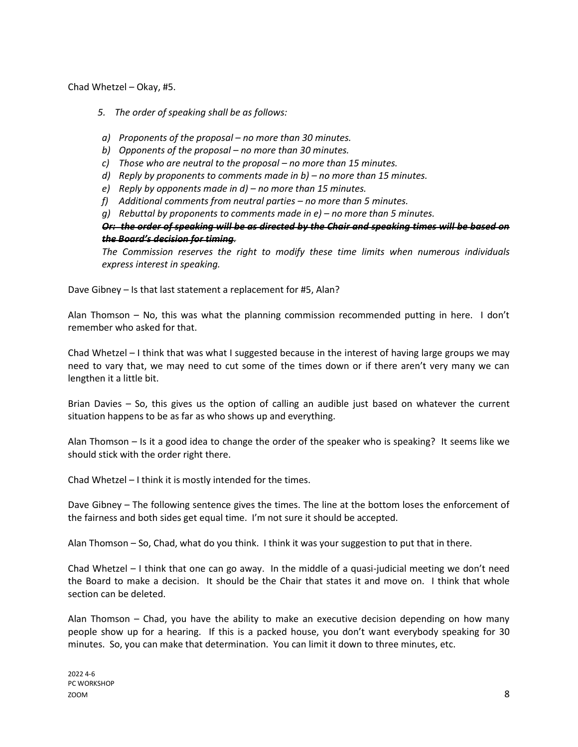Chad Whetzel – Okay, #5.

- *5. The order of speaking shall be as follows:*
- *a) Proponents of the proposal – no more than 30 minutes.*
- *b) Opponents of the proposal – no more than 30 minutes.*
- *c) Those who are neutral to the proposal – no more than 15 minutes.*
- *d) Reply by proponents to comments made in b) – no more than 15 minutes.*
- *e) Reply by opponents made in d) – no more than 15 minutes.*
- *f) Additional comments from neutral parties – no more than 5 minutes.*
- *g) Rebuttal by proponents to comments made in e) – no more than 5 minutes.*

*Or: the order of speaking will be as directed by the Chair and speaking times will be based on the Board's decision for timing.*

*The Commission reserves the right to modify these time limits when numerous individuals express interest in speaking.*

Dave Gibney – Is that last statement a replacement for #5, Alan?

Alan Thomson – No, this was what the planning commission recommended putting in here. I don't remember who asked for that.

Chad Whetzel – I think that was what I suggested because in the interest of having large groups we may need to vary that, we may need to cut some of the times down or if there aren't very many we can lengthen it a little bit.

Brian Davies – So, this gives us the option of calling an audible just based on whatever the current situation happens to be as far as who shows up and everything.

Alan Thomson – Is it a good idea to change the order of the speaker who is speaking? It seems like we should stick with the order right there.

Chad Whetzel – I think it is mostly intended for the times.

Dave Gibney – The following sentence gives the times. The line at the bottom loses the enforcement of the fairness and both sides get equal time. I'm not sure it should be accepted.

Alan Thomson – So, Chad, what do you think. I think it was your suggestion to put that in there.

Chad Whetzel – I think that one can go away. In the middle of a quasi-judicial meeting we don't need the Board to make a decision. It should be the Chair that states it and move on. I think that whole section can be deleted.

Alan Thomson – Chad, you have the ability to make an executive decision depending on how many people show up for a hearing. If this is a packed house, you don't want everybody speaking for 30 minutes. So, you can make that determination. You can limit it down to three minutes, etc.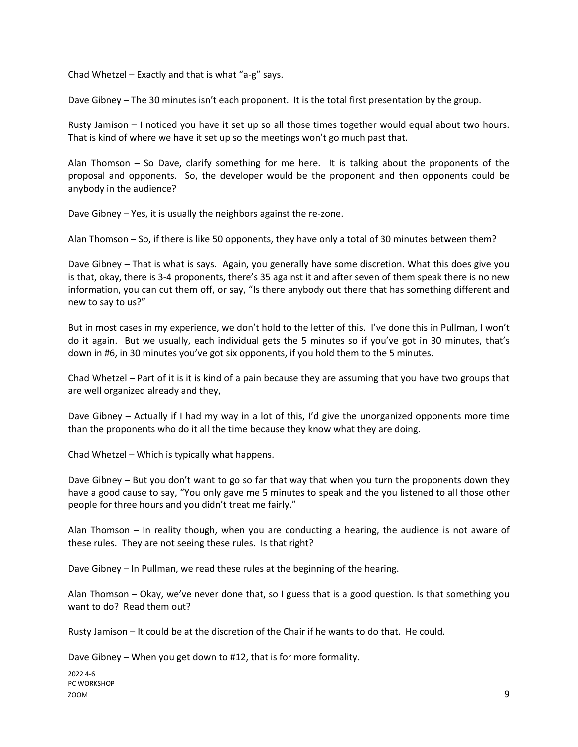Chad Whetzel – Exactly and that is what "a-g" says.

Dave Gibney – The 30 minutes isn't each proponent. It is the total first presentation by the group.

Rusty Jamison – I noticed you have it set up so all those times together would equal about two hours. That is kind of where we have it set up so the meetings won't go much past that.

Alan Thomson – So Dave, clarify something for me here. It is talking about the proponents of the proposal and opponents. So, the developer would be the proponent and then opponents could be anybody in the audience?

Dave Gibney – Yes, it is usually the neighbors against the re-zone.

Alan Thomson – So, if there is like 50 opponents, they have only a total of 30 minutes between them?

Dave Gibney – That is what is says. Again, you generally have some discretion. What this does give you is that, okay, there is 3-4 proponents, there's 35 against it and after seven of them speak there is no new information, you can cut them off, or say, "Is there anybody out there that has something different and new to say to us?"

But in most cases in my experience, we don't hold to the letter of this. I've done this in Pullman, I won't do it again. But we usually, each individual gets the 5 minutes so if you've got in 30 minutes, that's down in #6, in 30 minutes you've got six opponents, if you hold them to the 5 minutes.

Chad Whetzel – Part of it is it is kind of a pain because they are assuming that you have two groups that are well organized already and they,

Dave Gibney – Actually if I had my way in a lot of this, I'd give the unorganized opponents more time than the proponents who do it all the time because they know what they are doing.

Chad Whetzel – Which is typically what happens.

Dave Gibney – But you don't want to go so far that way that when you turn the proponents down they have a good cause to say, "You only gave me 5 minutes to speak and the you listened to all those other people for three hours and you didn't treat me fairly."

Alan Thomson – In reality though, when you are conducting a hearing, the audience is not aware of these rules. They are not seeing these rules. Is that right?

Dave Gibney – In Pullman, we read these rules at the beginning of the hearing.

Alan Thomson – Okay, we've never done that, so I guess that is a good question. Is that something you want to do? Read them out?

Rusty Jamison – It could be at the discretion of the Chair if he wants to do that. He could.

Dave Gibney – When you get down to #12, that is for more formality.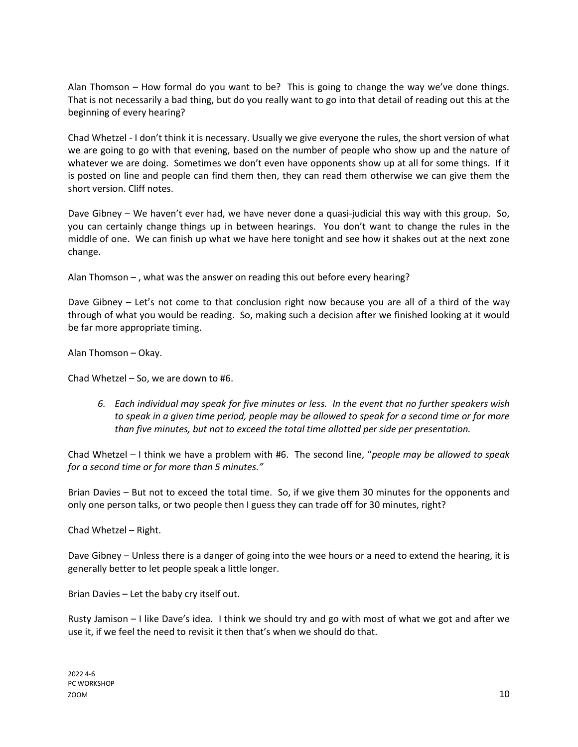Alan Thomson – How formal do you want to be? This is going to change the way we've done things. That is not necessarily a bad thing, but do you really want to go into that detail of reading out this at the beginning of every hearing?

Chad Whetzel - I don't think it is necessary. Usually we give everyone the rules, the short version of what we are going to go with that evening, based on the number of people who show up and the nature of whatever we are doing. Sometimes we don't even have opponents show up at all for some things. If it is posted on line and people can find them then, they can read them otherwise we can give them the short version. Cliff notes.

Dave Gibney – We haven't ever had, we have never done a quasi-judicial this way with this group. So, you can certainly change things up in between hearings. You don't want to change the rules in the middle of one. We can finish up what we have here tonight and see how it shakes out at the next zone change.

Alan Thomson – , what was the answer on reading this out before every hearing?

Dave Gibney – Let's not come to that conclusion right now because you are all of a third of the way through of what you would be reading. So, making such a decision after we finished looking at it would be far more appropriate timing.

Alan Thomson – Okay.

Chad Whetzel – So, we are down to #6.

*6. Each individual may speak for five minutes or less. In the event that no further speakers wish to speak in a given time period, people may be allowed to speak for a second time or for more than five minutes, but not to exceed the total time allotted per side per presentation.*

Chad Whetzel – I think we have a problem with #6. The second line, "*people may be allowed to speak for a second time or for more than 5 minutes."* 

Brian Davies – But not to exceed the total time. So, if we give them 30 minutes for the opponents and only one person talks, or two people then I guess they can trade off for 30 minutes, right?

Chad Whetzel – Right.

Dave Gibney – Unless there is a danger of going into the wee hours or a need to extend the hearing, it is generally better to let people speak a little longer.

Brian Davies – Let the baby cry itself out.

Rusty Jamison – I like Dave's idea. I think we should try and go with most of what we got and after we use it, if we feel the need to revisit it then that's when we should do that.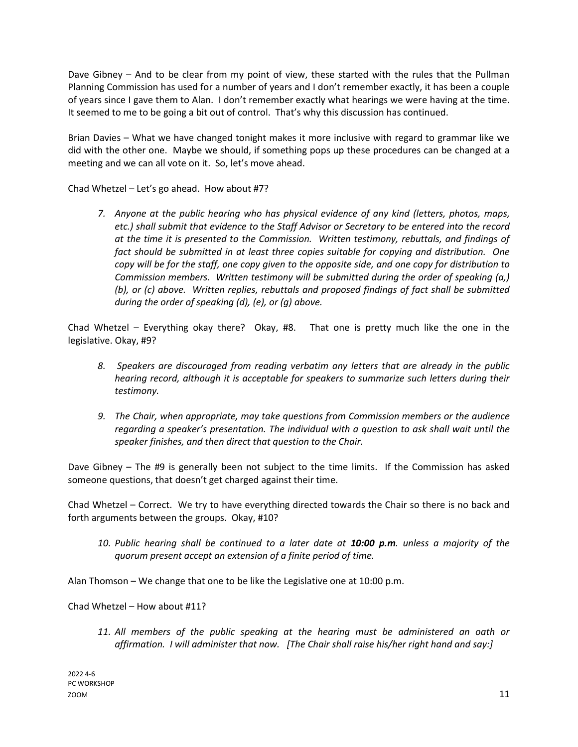Dave Gibney – And to be clear from my point of view, these started with the rules that the Pullman Planning Commission has used for a number of years and I don't remember exactly, it has been a couple of years since I gave them to Alan. I don't remember exactly what hearings we were having at the time. It seemed to me to be going a bit out of control. That's why this discussion has continued.

Brian Davies – What we have changed tonight makes it more inclusive with regard to grammar like we did with the other one. Maybe we should, if something pops up these procedures can be changed at a meeting and we can all vote on it. So, let's move ahead.

Chad Whetzel – Let's go ahead. How about #7?

*7. Anyone at the public hearing who has physical evidence of any kind (letters, photos, maps, etc.) shall submit that evidence to the Staff Advisor or Secretary to be entered into the record at the time it is presented to the Commission. Written testimony, rebuttals, and findings of fact should be submitted in at least three copies suitable for copying and distribution. One copy will be for the staff, one copy given to the opposite side, and one copy for distribution to Commission members. Written testimony will be submitted during the order of speaking (a,) (b), or (c) above. Written replies, rebuttals and proposed findings of fact shall be submitted during the order of speaking (d), (e), or (g) above.*

Chad Whetzel – Everything okay there? Okay, #8. That one is pretty much like the one in the legislative. Okay, #9?

- *8. Speakers are discouraged from reading verbatim any letters that are already in the public hearing record, although it is acceptable for speakers to summarize such letters during their testimony.*
- *9. The Chair, when appropriate, may take questions from Commission members or the audience regarding a speaker's presentation. The individual with a question to ask shall wait until the speaker finishes, and then direct that question to the Chair.*

Dave Gibney – The #9 is generally been not subject to the time limits. If the Commission has asked someone questions, that doesn't get charged against their time.

Chad Whetzel – Correct. We try to have everything directed towards the Chair so there is no back and forth arguments between the groups. Okay, #10?

*10. Public hearing shall be continued to a later date at 10:00 p.m. unless a majority of the quorum present accept an extension of a finite period of time.*

Alan Thomson – We change that one to be like the Legislative one at 10:00 p.m.

Chad Whetzel – How about #11?

*11. All members of the public speaking at the hearing must be administered an oath or affirmation. I will administer that now. [The Chair shall raise his/her right hand and say:]*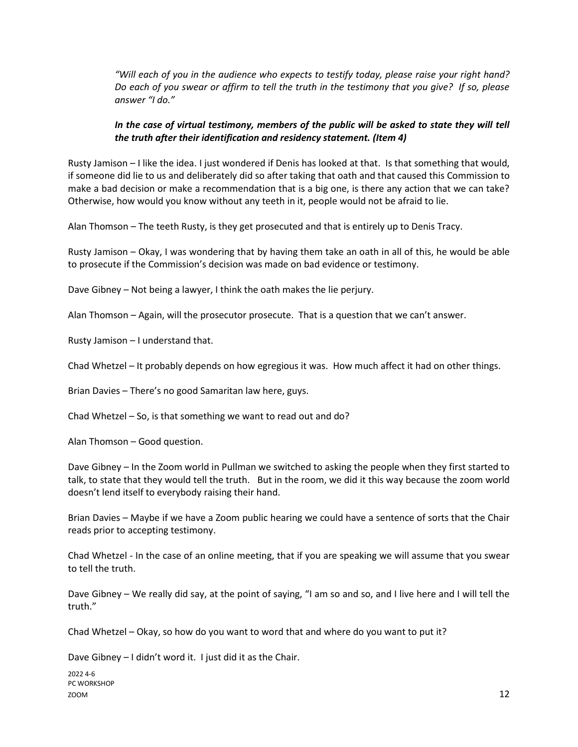*"Will each of you in the audience who expects to testify today, please raise your right hand? Do each of you swear or affirm to tell the truth in the testimony that you give? If so, please answer "I do."*

## *In the case of virtual testimony, members of the public will be asked to state they will tell the truth after their identification and residency statement. (Item 4)*

Rusty Jamison – I like the idea. I just wondered if Denis has looked at that. Is that something that would, if someone did lie to us and deliberately did so after taking that oath and that caused this Commission to make a bad decision or make a recommendation that is a big one, is there any action that we can take? Otherwise, how would you know without any teeth in it, people would not be afraid to lie.

Alan Thomson – The teeth Rusty, is they get prosecuted and that is entirely up to Denis Tracy.

Rusty Jamison – Okay, I was wondering that by having them take an oath in all of this, he would be able to prosecute if the Commission's decision was made on bad evidence or testimony.

Dave Gibney – Not being a lawyer, I think the oath makes the lie perjury.

Alan Thomson – Again, will the prosecutor prosecute. That is a question that we can't answer.

Rusty Jamison – I understand that.

Chad Whetzel – It probably depends on how egregious it was. How much affect it had on other things.

Brian Davies – There's no good Samaritan law here, guys.

Chad Whetzel – So, is that something we want to read out and do?

Alan Thomson – Good question.

Dave Gibney – In the Zoom world in Pullman we switched to asking the people when they first started to talk, to state that they would tell the truth. But in the room, we did it this way because the zoom world doesn't lend itself to everybody raising their hand.

Brian Davies – Maybe if we have a Zoom public hearing we could have a sentence of sorts that the Chair reads prior to accepting testimony.

Chad Whetzel - In the case of an online meeting, that if you are speaking we will assume that you swear to tell the truth.

Dave Gibney – We really did say, at the point of saying, "I am so and so, and I live here and I will tell the truth."

Chad Whetzel – Okay, so how do you want to word that and where do you want to put it?

Dave Gibney – I didn't word it. I just did it as the Chair.

2022 4-6 PC WORKSHOP  $200M$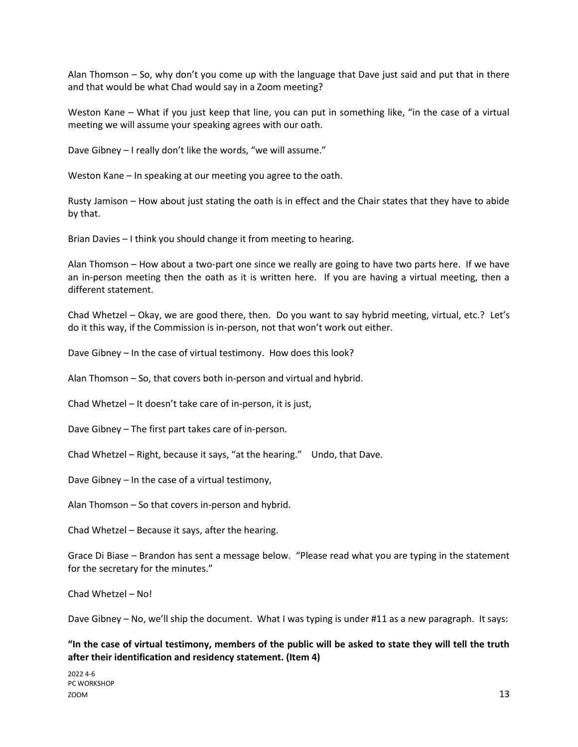Alan Thomson – So, why don't you come up with the language that Dave just said and put that in there and that would be what Chad would say in a Zoom meeting?

Weston Kane – What if you just keep that line, you can put in something like, "in the case of a virtual meeting we will assume your speaking agrees with our oath.

Dave Gibney – I really don't like the words, "we will assume."

Weston Kane – In speaking at our meeting you agree to the oath.

Rusty Jamison – How about just stating the oath is in effect and the Chair states that they have to abide by that.

Brian Davies – I think you should change it from meeting to hearing.

Alan Thomson – How about a two-part one since we really are going to have two parts here. If we have an in-person meeting then the oath as it is written here. If you are having a virtual meeting, then a different statement.

Chad Whetzel – Okay, we are good there, then. Do you want to say hybrid meeting, virtual, etc.? Let's do it this way, if the Commission is in-person, not that won't work out either.

Dave Gibney – In the case of virtual testimony. How does this look?

Alan Thomson – So, that covers both in-person and virtual and hybrid.

Chad Whetzel – It doesn't take care of in-person, it is just,

Dave Gibney – The first part takes care of in-person.

Chad Whetzel – Right, because it says, "at the hearing." Undo, that Dave.

Dave Gibney – In the case of a virtual testimony,

Alan Thomson – So that covers in-person and hybrid.

Chad Whetzel – Because it says, after the hearing.

Grace Di Biase – Brandon has sent a message below. "Please read what you are typing in the statement for the secretary for the minutes."

Chad Whetzel – No!

Dave Gibney – No, we'll ship the document. What I was typing is under #11 as a new paragraph. It says:

**"In the case of virtual testimony, members of the public will be asked to state they will tell the truth after their identification and residency statement. (Item 4)**

2022 4-6 PC WORKSHOP  $200M$   $13$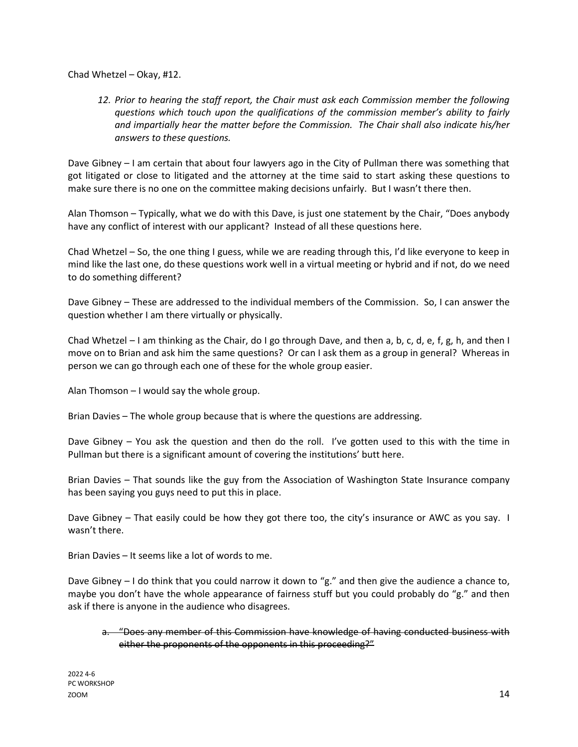Chad Whetzel – Okay, #12.

*12. Prior to hearing the staff report, the Chair must ask each Commission member the following questions which touch upon the qualifications of the commission member's ability to fairly and impartially hear the matter before the Commission. The Chair shall also indicate his/her answers to these questions.*

Dave Gibney – I am certain that about four lawyers ago in the City of Pullman there was something that got litigated or close to litigated and the attorney at the time said to start asking these questions to make sure there is no one on the committee making decisions unfairly. But I wasn't there then.

Alan Thomson – Typically, what we do with this Dave, is just one statement by the Chair, "Does anybody have any conflict of interest with our applicant? Instead of all these questions here.

Chad Whetzel – So, the one thing I guess, while we are reading through this, I'd like everyone to keep in mind like the last one, do these questions work well in a virtual meeting or hybrid and if not, do we need to do something different?

Dave Gibney – These are addressed to the individual members of the Commission. So, I can answer the question whether I am there virtually or physically.

Chad Whetzel – I am thinking as the Chair, do I go through Dave, and then a, b, c, d, e, f, g, h, and then I move on to Brian and ask him the same questions? Or can I ask them as a group in general? Whereas in person we can go through each one of these for the whole group easier.

Alan Thomson – I would say the whole group.

Brian Davies – The whole group because that is where the questions are addressing.

Dave Gibney – You ask the question and then do the roll. I've gotten used to this with the time in Pullman but there is a significant amount of covering the institutions' butt here.

Brian Davies – That sounds like the guy from the Association of Washington State Insurance company has been saying you guys need to put this in place.

Dave Gibney – That easily could be how they got there too, the city's insurance or AWC as you say. I wasn't there.

Brian Davies – It seems like a lot of words to me.

Dave Gibney – I do think that you could narrow it down to "g." and then give the audience a chance to, maybe you don't have the whole appearance of fairness stuff but you could probably do "g." and then ask if there is anyone in the audience who disagrees.

a. "Does any member of this Commission have knowledge of having conducted business with either the proponents of the opponents in this proceeding?"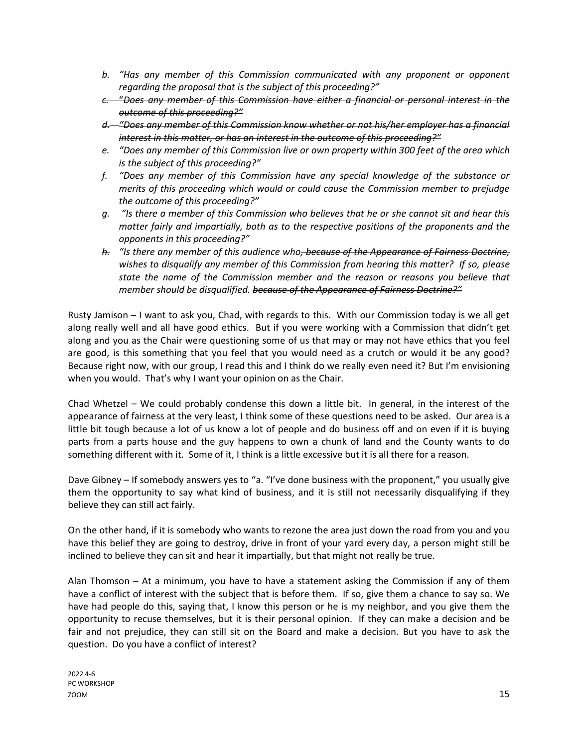- *b. "Has any member of this Commission communicated with any proponent or opponent regarding the proposal that is the subject of this proceeding?"*
- *c.* "*Does any member of this Commission have either a financial or personal interest in the outcome of this proceeding?"*
- *d. "Does any member of this Commission know whether or not his/her employer has a financial interest in this matter, or has an interest in the outcome of this proceeding?"*
- *e. "Does any member of this Commission live or own property within 300 feet of the area which is the subject of this proceeding?"*
- *f. "Does any member of this Commission have any special knowledge of the substance or merits of this proceeding which would or could cause the Commission member to prejudge the outcome of this proceeding?"*
- *g. "Is there a member of this Commission who believes that he or she cannot sit and hear this matter fairly and impartially, both as to the respective positions of the proponents and the opponents in this proceeding?"*
- *h. "Is there any member of this audience who, because of the Appearance of Fairness Doctrine, wishes to disqualify any member of this Commission from hearing this matter? If so, please state the name of the Commission member and the reason or reasons you believe that member should be disqualified. because of the Appearance of Fairness Doctrine?"*

Rusty Jamison – I want to ask you, Chad, with regards to this. With our Commission today is we all get along really well and all have good ethics. But if you were working with a Commission that didn't get along and you as the Chair were questioning some of us that may or may not have ethics that you feel are good, is this something that you feel that you would need as a crutch or would it be any good? Because right now, with our group, I read this and I think do we really even need it? But I'm envisioning when you would. That's why I want your opinion on as the Chair.

Chad Whetzel – We could probably condense this down a little bit. In general, in the interest of the appearance of fairness at the very least, I think some of these questions need to be asked. Our area is a little bit tough because a lot of us know a lot of people and do business off and on even if it is buying parts from a parts house and the guy happens to own a chunk of land and the County wants to do something different with it. Some of it, I think is a little excessive but it is all there for a reason.

Dave Gibney – If somebody answers yes to "a. "I've done business with the proponent," you usually give them the opportunity to say what kind of business, and it is still not necessarily disqualifying if they believe they can still act fairly.

On the other hand, if it is somebody who wants to rezone the area just down the road from you and you have this belief they are going to destroy, drive in front of your yard every day, a person might still be inclined to believe they can sit and hear it impartially, but that might not really be true.

Alan Thomson – At a minimum, you have to have a statement asking the Commission if any of them have a conflict of interest with the subject that is before them. If so, give them a chance to say so. We have had people do this, saying that, I know this person or he is my neighbor, and you give them the opportunity to recuse themselves, but it is their personal opinion. If they can make a decision and be fair and not prejudice, they can still sit on the Board and make a decision. But you have to ask the question. Do you have a conflict of interest?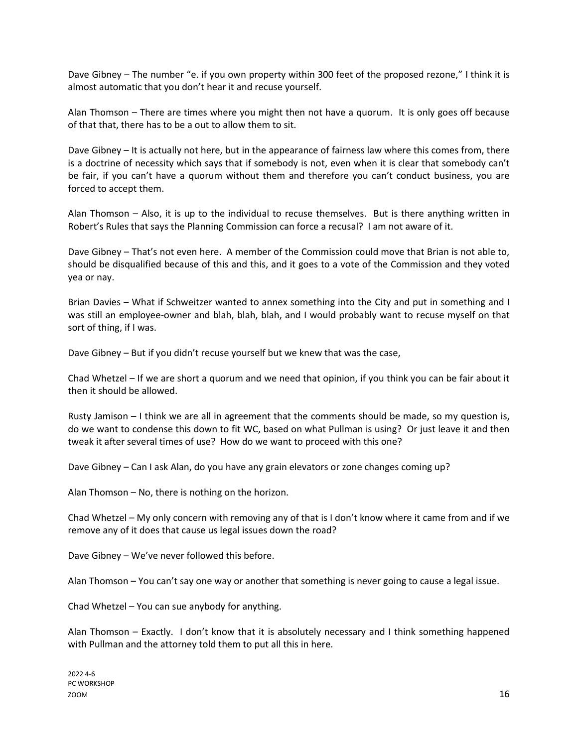Dave Gibney – The number "e. if you own property within 300 feet of the proposed rezone," I think it is almost automatic that you don't hear it and recuse yourself.

Alan Thomson – There are times where you might then not have a quorum. It is only goes off because of that that, there has to be a out to allow them to sit.

Dave Gibney – It is actually not here, but in the appearance of fairness law where this comes from, there is a doctrine of necessity which says that if somebody is not, even when it is clear that somebody can't be fair, if you can't have a quorum without them and therefore you can't conduct business, you are forced to accept them.

Alan Thomson – Also, it is up to the individual to recuse themselves. But is there anything written in Robert's Rules that says the Planning Commission can force a recusal? I am not aware of it.

Dave Gibney – That's not even here. A member of the Commission could move that Brian is not able to, should be disqualified because of this and this, and it goes to a vote of the Commission and they voted yea or nay.

Brian Davies – What if Schweitzer wanted to annex something into the City and put in something and I was still an employee-owner and blah, blah, blah, and I would probably want to recuse myself on that sort of thing, if I was.

Dave Gibney – But if you didn't recuse yourself but we knew that was the case,

Chad Whetzel – If we are short a quorum and we need that opinion, if you think you can be fair about it then it should be allowed.

Rusty Jamison – I think we are all in agreement that the comments should be made, so my question is, do we want to condense this down to fit WC, based on what Pullman is using? Or just leave it and then tweak it after several times of use? How do we want to proceed with this one?

Dave Gibney – Can I ask Alan, do you have any grain elevators or zone changes coming up?

Alan Thomson – No, there is nothing on the horizon.

Chad Whetzel – My only concern with removing any of that is I don't know where it came from and if we remove any of it does that cause us legal issues down the road?

Dave Gibney – We've never followed this before.

Alan Thomson – You can't say one way or another that something is never going to cause a legal issue.

Chad Whetzel – You can sue anybody for anything.

Alan Thomson – Exactly. I don't know that it is absolutely necessary and I think something happened with Pullman and the attorney told them to put all this in here.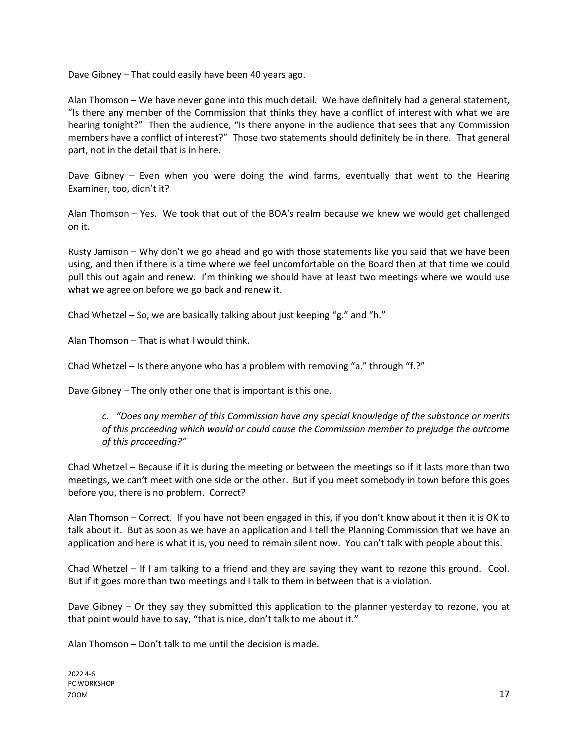Dave Gibney – That could easily have been 40 years ago.

Alan Thomson – We have never gone into this much detail. We have definitely had a general statement, "Is there any member of the Commission that thinks they have a conflict of interest with what we are hearing tonight?" Then the audience, "Is there anyone in the audience that sees that any Commission members have a conflict of interest?" Those two statements should definitely be in there. That general part, not in the detail that is in here.

Dave Gibney – Even when you were doing the wind farms, eventually that went to the Hearing Examiner, too, didn't it?

Alan Thomson – Yes. We took that out of the BOA's realm because we knew we would get challenged on it.

Rusty Jamison – Why don't we go ahead and go with those statements like you said that we have been using, and then if there is a time where we feel uncomfortable on the Board then at that time we could pull this out again and renew. I'm thinking we should have at least two meetings where we would use what we agree on before we go back and renew it.

Chad Whetzel – So, we are basically talking about just keeping "g." and "h."

Alan Thomson – That is what I would think.

Chad Whetzel – Is there anyone who has a problem with removing "a." through "f.?"

Dave Gibney – The only other one that is important is this one.

*c. "Does any member of this Commission have any special knowledge of the substance or merits of this proceeding which would or could cause the Commission member to prejudge the outcome of this proceeding?"*

Chad Whetzel – Because if it is during the meeting or between the meetings so if it lasts more than two meetings, we can't meet with one side or the other. But if you meet somebody in town before this goes before you, there is no problem. Correct?

Alan Thomson – Correct. If you have not been engaged in this, if you don't know about it then it is OK to talk about it. But as soon as we have an application and I tell the Planning Commission that we have an application and here is what it is, you need to remain silent now. You can't talk with people about this.

Chad Whetzel – If I am talking to a friend and they are saying they want to rezone this ground. Cool. But if it goes more than two meetings and I talk to them in between that is a violation.

Dave Gibney – Or they say they submitted this application to the planner yesterday to rezone, you at that point would have to say, "that is nice, don't talk to me about it."

Alan Thomson – Don't talk to me until the decision is made.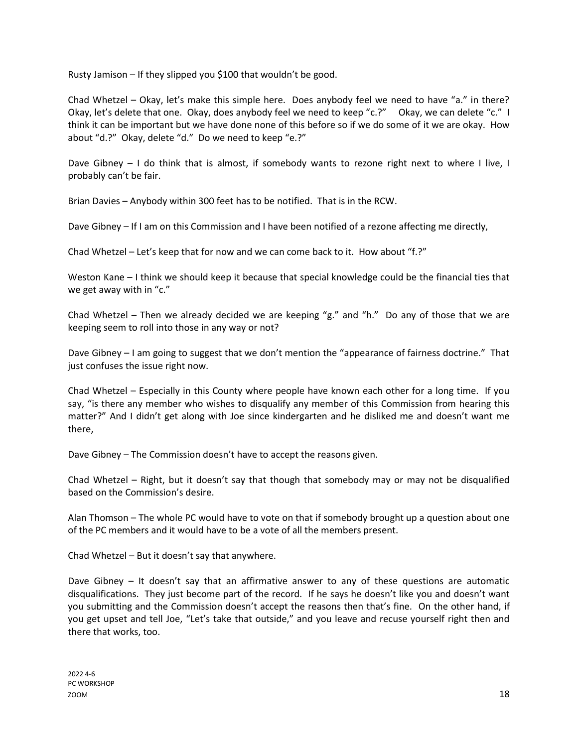Rusty Jamison – If they slipped you \$100 that wouldn't be good.

Chad Whetzel – Okay, let's make this simple here. Does anybody feel we need to have "a." in there? Okay, let's delete that one. Okay, does anybody feel we need to keep "c.?" Okay, we can delete "c." I think it can be important but we have done none of this before so if we do some of it we are okay. How about "d.?" Okay, delete "d." Do we need to keep "e.?"

Dave Gibney – I do think that is almost, if somebody wants to rezone right next to where I live, I probably can't be fair.

Brian Davies – Anybody within 300 feet has to be notified. That is in the RCW.

Dave Gibney – If I am on this Commission and I have been notified of a rezone affecting me directly,

Chad Whetzel – Let's keep that for now and we can come back to it. How about "f.?"

Weston Kane – I think we should keep it because that special knowledge could be the financial ties that we get away with in "c."

Chad Whetzel – Then we already decided we are keeping "g." and "h." Do any of those that we are keeping seem to roll into those in any way or not?

Dave Gibney – I am going to suggest that we don't mention the "appearance of fairness doctrine." That just confuses the issue right now.

Chad Whetzel – Especially in this County where people have known each other for a long time. If you say, "is there any member who wishes to disqualify any member of this Commission from hearing this matter?" And I didn't get along with Joe since kindergarten and he disliked me and doesn't want me there,

Dave Gibney – The Commission doesn't have to accept the reasons given.

Chad Whetzel – Right, but it doesn't say that though that somebody may or may not be disqualified based on the Commission's desire.

Alan Thomson – The whole PC would have to vote on that if somebody brought up a question about one of the PC members and it would have to be a vote of all the members present.

Chad Whetzel – But it doesn't say that anywhere.

Dave Gibney – It doesn't say that an affirmative answer to any of these questions are automatic disqualifications. They just become part of the record. If he says he doesn't like you and doesn't want you submitting and the Commission doesn't accept the reasons then that's fine. On the other hand, if you get upset and tell Joe, "Let's take that outside," and you leave and recuse yourself right then and there that works, too.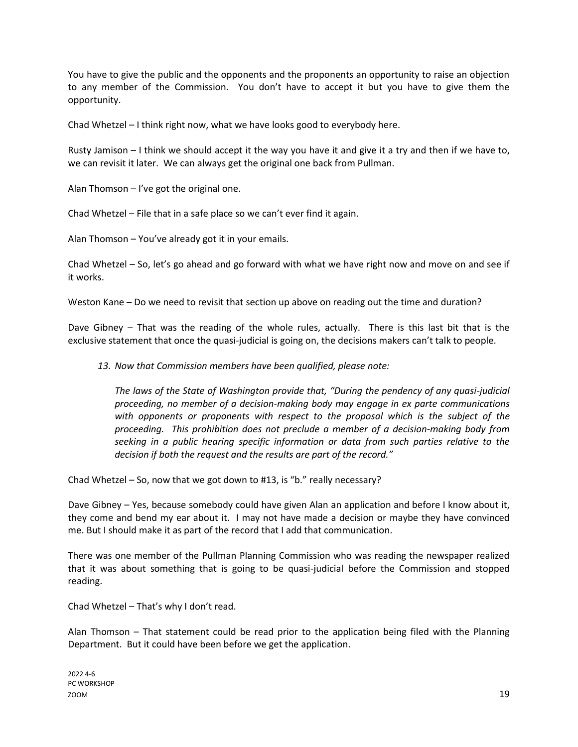You have to give the public and the opponents and the proponents an opportunity to raise an objection to any member of the Commission. You don't have to accept it but you have to give them the opportunity.

Chad Whetzel – I think right now, what we have looks good to everybody here.

Rusty Jamison – I think we should accept it the way you have it and give it a try and then if we have to, we can revisit it later. We can always get the original one back from Pullman.

Alan Thomson – I've got the original one.

Chad Whetzel – File that in a safe place so we can't ever find it again.

Alan Thomson – You've already got it in your emails.

Chad Whetzel – So, let's go ahead and go forward with what we have right now and move on and see if it works.

Weston Kane – Do we need to revisit that section up above on reading out the time and duration?

Dave Gibney – That was the reading of the whole rules, actually. There is this last bit that is the exclusive statement that once the quasi-judicial is going on, the decisions makers can't talk to people.

*13. Now that Commission members have been qualified, please note:*

*The laws of the State of Washington provide that, "During the pendency of any quasi-judicial proceeding, no member of a decision-making body may engage in ex parte communications with opponents or proponents with respect to the proposal which is the subject of the proceeding. This prohibition does not preclude a member of a decision-making body from seeking in a public hearing specific information or data from such parties relative to the decision if both the request and the results are part of the record."* 

Chad Whetzel – So, now that we got down to #13, is "b." really necessary?

Dave Gibney – Yes, because somebody could have given Alan an application and before I know about it, they come and bend my ear about it. I may not have made a decision or maybe they have convinced me. But I should make it as part of the record that I add that communication.

There was one member of the Pullman Planning Commission who was reading the newspaper realized that it was about something that is going to be quasi-judicial before the Commission and stopped reading.

Chad Whetzel – That's why I don't read.

Alan Thomson – That statement could be read prior to the application being filed with the Planning Department. But it could have been before we get the application.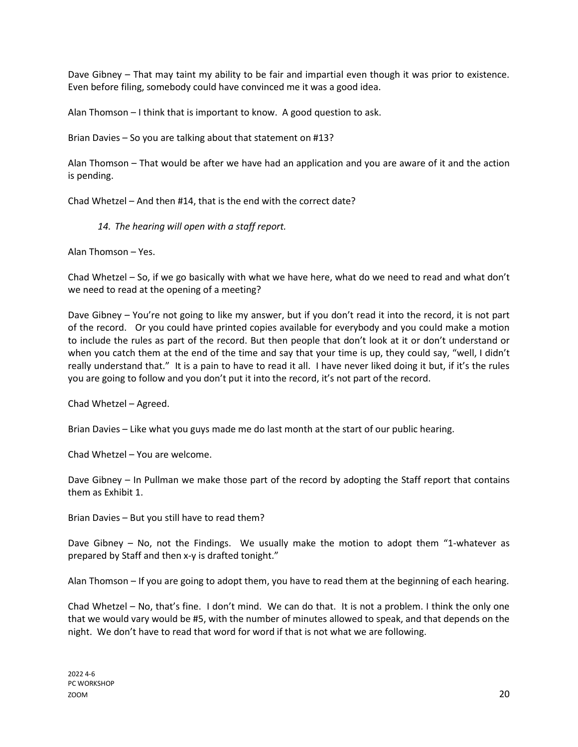Dave Gibney – That may taint my ability to be fair and impartial even though it was prior to existence. Even before filing, somebody could have convinced me it was a good idea.

Alan Thomson – I think that is important to know. A good question to ask.

Brian Davies – So you are talking about that statement on #13?

Alan Thomson – That would be after we have had an application and you are aware of it and the action is pending.

Chad Whetzel – And then #14, that is the end with the correct date?

*14. The hearing will open with a staff report.*

Alan Thomson – Yes.

Chad Whetzel – So, if we go basically with what we have here, what do we need to read and what don't we need to read at the opening of a meeting?

Dave Gibney – You're not going to like my answer, but if you don't read it into the record, it is not part of the record. Or you could have printed copies available for everybody and you could make a motion to include the rules as part of the record. But then people that don't look at it or don't understand or when you catch them at the end of the time and say that your time is up, they could say, "well, I didn't really understand that." It is a pain to have to read it all. I have never liked doing it but, if it's the rules you are going to follow and you don't put it into the record, it's not part of the record.

Chad Whetzel – Agreed.

Brian Davies – Like what you guys made me do last month at the start of our public hearing.

Chad Whetzel – You are welcome.

Dave Gibney – In Pullman we make those part of the record by adopting the Staff report that contains them as Exhibit 1.

Brian Davies – But you still have to read them?

Dave Gibney – No, not the Findings. We usually make the motion to adopt them "1-whatever as prepared by Staff and then x-y is drafted tonight."

Alan Thomson – If you are going to adopt them, you have to read them at the beginning of each hearing.

Chad Whetzel – No, that's fine. I don't mind. We can do that. It is not a problem. I think the only one that we would vary would be #5, with the number of minutes allowed to speak, and that depends on the night. We don't have to read that word for word if that is not what we are following.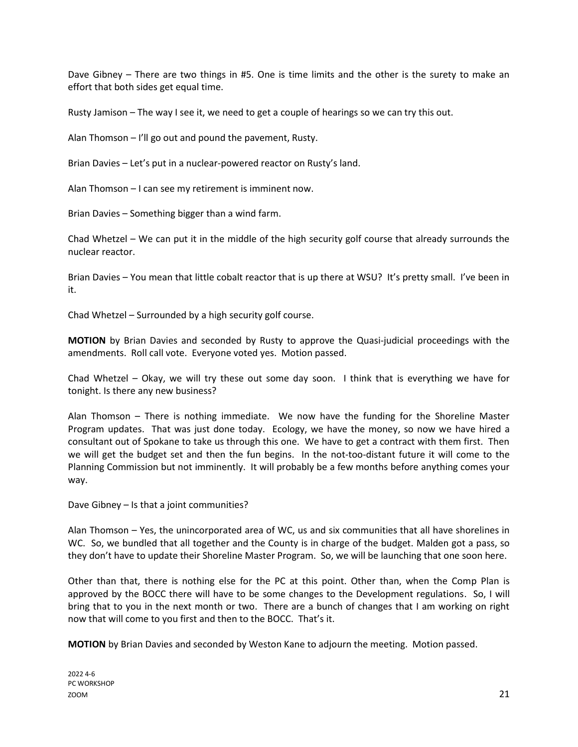Dave Gibney – There are two things in #5. One is time limits and the other is the surety to make an effort that both sides get equal time.

Rusty Jamison – The way I see it, we need to get a couple of hearings so we can try this out.

Alan Thomson – I'll go out and pound the pavement, Rusty.

Brian Davies – Let's put in a nuclear-powered reactor on Rusty's land.

Alan Thomson – I can see my retirement is imminent now.

Brian Davies – Something bigger than a wind farm.

Chad Whetzel – We can put it in the middle of the high security golf course that already surrounds the nuclear reactor.

Brian Davies – You mean that little cobalt reactor that is up there at WSU? It's pretty small. I've been in it.

Chad Whetzel – Surrounded by a high security golf course.

**MOTION** by Brian Davies and seconded by Rusty to approve the Quasi-judicial proceedings with the amendments. Roll call vote. Everyone voted yes. Motion passed.

Chad Whetzel – Okay, we will try these out some day soon. I think that is everything we have for tonight. Is there any new business?

Alan Thomson – There is nothing immediate. We now have the funding for the Shoreline Master Program updates. That was just done today. Ecology, we have the money, so now we have hired a consultant out of Spokane to take us through this one. We have to get a contract with them first. Then we will get the budget set and then the fun begins. In the not-too-distant future it will come to the Planning Commission but not imminently. It will probably be a few months before anything comes your way.

Dave Gibney – Is that a joint communities?

Alan Thomson – Yes, the unincorporated area of WC, us and six communities that all have shorelines in WC. So, we bundled that all together and the County is in charge of the budget. Malden got a pass, so they don't have to update their Shoreline Master Program. So, we will be launching that one soon here.

Other than that, there is nothing else for the PC at this point. Other than, when the Comp Plan is approved by the BOCC there will have to be some changes to the Development regulations. So, I will bring that to you in the next month or two. There are a bunch of changes that I am working on right now that will come to you first and then to the BOCC. That's it.

**MOTION** by Brian Davies and seconded by Weston Kane to adjourn the meeting. Motion passed.